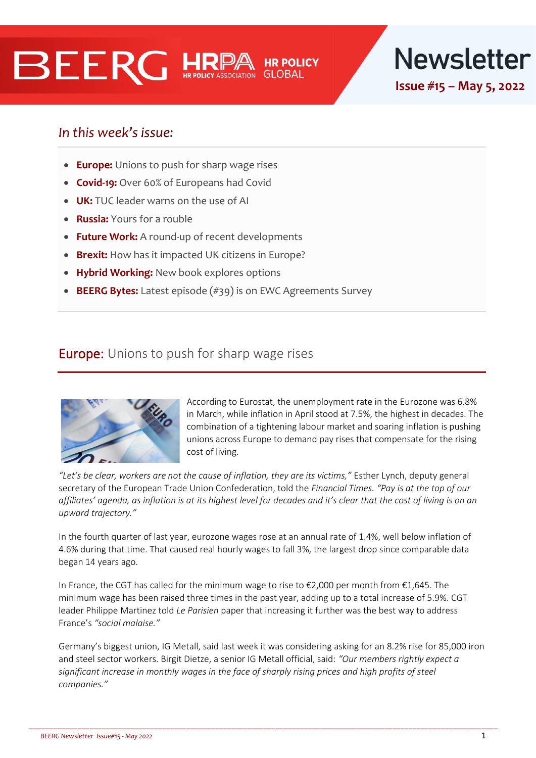# **BEERG HRE**



In this week's issue:

- **Europe:** Unions to push for sharp wage rises
- **Covid-19:** Over 60% of Europeans had Covid
- **UK:** TUC leader warns on the use of AI
- **Russia:** Yours for a rouble
- **Future Work:** A round-up of recent developments
- **Brexit:** How has it impacted UK citizens in Europe?
- **Hybrid Working:** New book explores options
- **BEERG Bytes:** Latest episode (#39) is on EWC Agreements Survey

## **Europe:** Unions to push for sharp wage rises



According to Eurostat, the unemployment rate in the Eurozone was 6.8% in March, while inflation in April stood at 7.5%, the highest in decades. The combination of a tightening labour market and soaring inflation is pushing unions across Europe to demand pay rises that compensate for the rising cost of living.

*"Let's be clear, workers are not the cause of inflation, they are its victims,"* Esther Lynch, deputy general secretary of the European Trade Union Confederation, told the *Financial Times. "Pay is at the top of our affiliates' agenda, as inflation is at its highest level for decades and it's clear that the cost of living is on an upward trajectory."*

In the fourth quarter of last year, eurozone wages rose at an annual rate of 1.4%, well below inflation of 4.6% during that time. That caused real hourly wages to fall 3%, the largest drop since comparable data began 14 years ago.

In France, the CGT has called for the minimum wage to rise to €2,000 per month from €1,645. The minimum wage has been raised three times in the past year, adding up to a total increase of 5.9%. CGT leader Philippe Martinez told *Le Parisien* paper that increasing it further was the best way to address France's *"social malaise."*

Germany's biggest union, IG Metall, said last week it was considering asking for an 8.2% rise for 85,000 iron and steel sector workers. Birgit Dietze, a senior IG Metall official, said: *"Our members rightly expect a*  significant increase in monthly wages in the face of sharply rising prices and high profits of steel *companies."*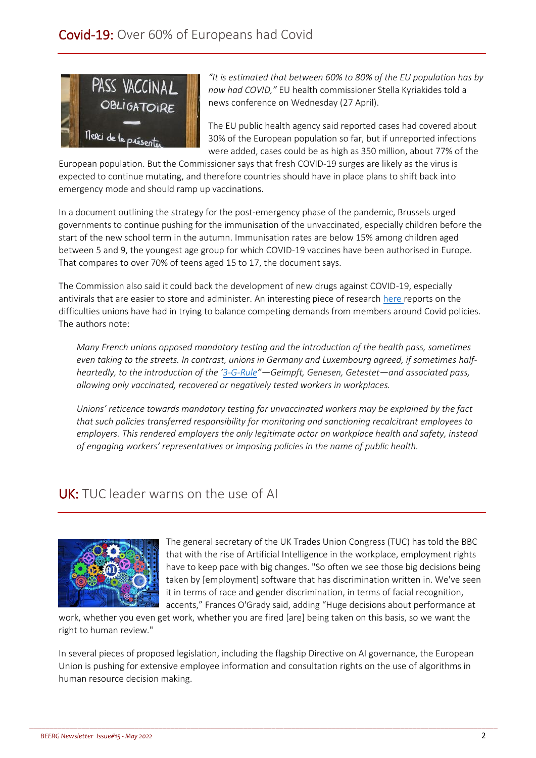

*"It is estimated that between 60% to 80% of the EU population has by now had COVID,"* EU health commissioner Stella Kyriakides told a news conference on Wednesday (27 April).

The EU public health agency said reported cases had covered about 30% of the European population so far, but if unreported infections were added, cases could be as high as 350 million, about 77% of the

European population. But the Commissioner says that fresh COVID-19 surges are likely as the virus is expected to continue mutating, and therefore countries should have in place plans to shift back into emergency mode and should ramp up vaccinations.

In a document outlining the strategy for the post-emergency phase of the pandemic, Brussels urged governments to continue pushing for the immunisation of the unvaccinated, especially children before the start of the new school term in the autumn. Immunisation rates are below 15% among children aged between 5 and 9, the youngest age group for which COVID-19 vaccines have been authorised in Europe. That compares to over 70% of teens aged 15 to 17, the document says.

The Commission also said it could back the development of new drugs against COVID-19, especially antivirals that are easier to store and administer. An interesting piece of researc[h here](https://socialeurope.eu/covid-19-and-safety-at-work-union-dilemmas) reports on the difficulties unions have had in trying to balance competing demands from members around Covid policies. The authors note:

*Many French unions opposed mandatory testing and the introduction of the health pass, sometimes even taking to the streets. In contrast, unions in Germany and Luxembourg agreed, if sometimes halfheartedly, to the introduction of the '[3-G-Rule](https://www.zusammengegencorona.de/leichtesprache/die-3g-regel-geimpft-genesen-getestet/)"—Geimpft, Genesen, Getestet—and associated pass, allowing only vaccinated, recovered or negatively tested workers in workplaces.*

*Unions' reticence towards mandatory testing for unvaccinated workers may be explained by the fact that such policies transferred responsibility for monitoring and sanctioning recalcitrant employees to employers. This rendered employers the only legitimate actor on workplace health and safety, instead of engaging workers' representatives or imposing policies in the name of public health.*

## UK: TUC leader warns on the use of AI



The general secretary of the UK Trades Union Congress (TUC) has told the BBC that with the rise of Artificial Intelligence in the workplace, employment rights have to keep pace with big changes. "So often we see those big decisions being taken by [employment] software that has discrimination written in. We've seen it in terms of race and gender discrimination, in terms of facial recognition, accents," Frances O'Grady said, adding "Huge decisions about performance at

work, whether you even get work, whether you are fired [are] being taken on this basis, so we want the right to human review."

In several pieces of proposed legislation, including the flagship Directive on AI governance, the European Union is pushing for extensive employee information and consultation rights on the use of algorithms in human resource decision making.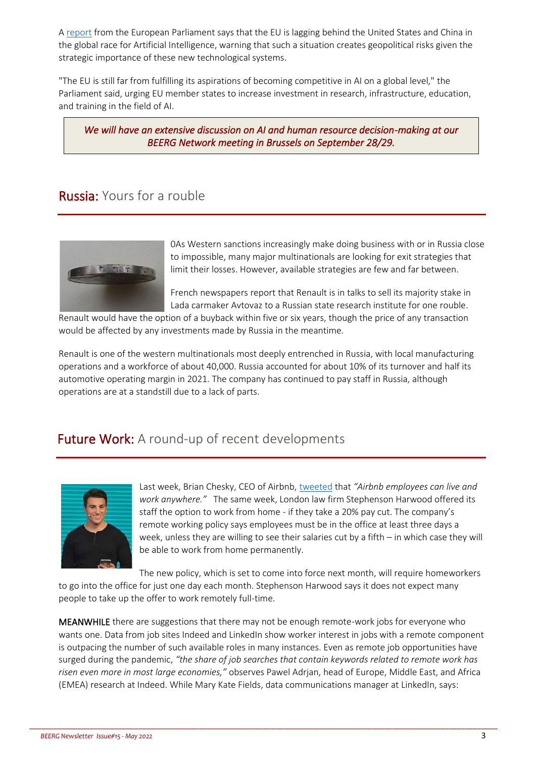A [report](https://www.europarl.europa.eu/news/en/agenda/briefing/2022-05-02/5/artificial-intelligence-the-eu-must-set-global-standards) from the European Parliament says that the EU is lagging behind the United States and China in the global race for Artificial Intelligence, warning that such a situation creates geopolitical risks given the strategic importance of these new technological systems.

"The EU is still far from fulfilling its aspirations of becoming competitive in AI on a global level," the Parliament said, urging EU member states to increase investment in research, infrastructure, education, and training in the field of AI.

*We will have an extensive discussion on AI and human resource decision-making at our BEERG Network meeting in Brussels on September 28/29.* 

## Russia: Yours for a rouble



0As Western sanctions increasingly make doing business with or in Russia close to impossible, many major multinationals are looking for exit strategies that limit their losses. However, available strategies are few and far between.

French newspapers report that Renault is in talks to sell its majority stake in Lada carmaker Avtovaz to a Russian state research institute for one rouble.

Renault would have the option of a buyback within five or six years, though the price of any transaction would be affected by any investments made by Russia in the meantime.

Renault is one of the western multinationals most deeply entrenched in Russia, with local manufacturing operations and a workforce of about 40,000. Russia accounted for about 10% of its turnover and half its automotive operating margin in 2021. The company has continued to pay staff in Russia, although operations are at a standstill due to a lack of parts.

## Future Work: A round-up of recent developments



Last week, Brian Chesky, CEO of Airbnb, [tweeted](https://twitter.com/bchesky/status/1519831566486147073?s=21&t=aBLqyi65ogr_EqigfOyLJw) that *"Airbnb employees can live and work anywhere."* The same week, London law firm Stephenson Harwood offered its staff the option to work from home - if they take a 20% pay cut. The company's remote working policy says employees must be in the office at least three days a week, unless they are willing to see their salaries cut by a fifth – in which case they will be able to work from home permanently.

The new policy, which is set to come into force next month, will require homeworkers to go into the office for just one day each month. Stephenson Harwood says it does not expect many people to take up the offer to work remotely full-time.

MEANWHILE there are suggestions that there may not be enough remote-work jobs for everyone who wants one. Data from job sites Indeed and LinkedIn show worker interest in jobs with a remote component is outpacing the number of such available roles in many instances. Even as remote job opportunities have surged during the pandemic, *"the share of job searches that contain keywords related to remote work has risen even more in most large economies,"* observes Pawel Adrjan, head of Europe, Middle East, and Africa (EMEA) research at Indeed. While Mary Kate Fields, data communications manager at LinkedIn, says: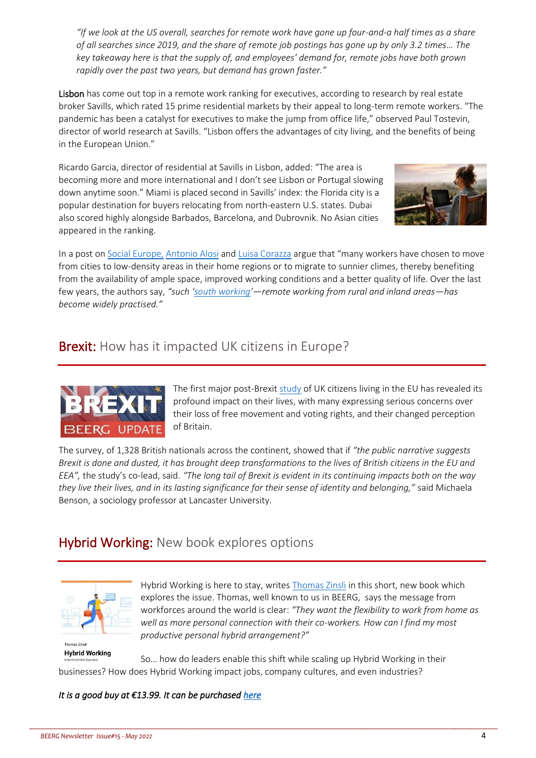*"If we look at the US overall, searches for remote work have gone up four-and-a half times as a share of all searches since 2019, and the share of remote job postings has gone up by only 3.2 times… The key takeaway here is that the supply of, and employees' demand for, remote jobs have both grown rapidly over the past two years, but demand has grown faster."*

Lisbon has come out top in a remote work ranking for executives, according to research by real estate broker Savills, which rated 15 prime residential markets by their appeal to long-term remote workers. "The pandemic has been a catalyst for executives to make the jump from office life," observed Paul Tostevin, director of world research at Savills. "Lisbon offers the advantages of city living, and the benefits of being in the European Union."

Ricardo Garcia, director of residential at Savills in Lisbon, added: "The area is becoming more and more international and I don't see Lisbon or Portugal slowing down anytime soon." Miami is placed second in Savills' index: the Florida city is a popular destination for buyers relocating from north-eastern U.S. states. Dubai also scored highly alongside Barbados, Barcelona, and Dubrovnik. No Asian cities appeared in the ranking.



In a post o[n Social Europe,](https://socialeurope.eu/south-working-the-future-of-remote-work) [Antonio Alosi](https://socialeurope.eu/author/antonio-aloisi) an[d Luisa Corazza](https://socialeurope.eu/author/luisa-corazza) argue that "many workers have chosen to move from cities to low-density areas in their home regions or to migrate to sunnier climes, thereby benefiting from the availability of ample space, improved working conditions and a better quality of life. Over the last few years, the authors say, *"such '[south working](https://www.southworking.org/)'—remote working from rural and inland areas—has become widely practised."*

## **Brexit:** How has it impacted UK citizens in Europe?



The first major post-Brexit [study](https://www.migzen.net/publications/) of UK citizens living in the EU has revealed its profound impact on their lives, with many expressing serious concerns over their loss of free movement and voting rights, and their changed perception of Britain.

The survey, of 1,328 British nationals across the continent, showed that if *"the public narrative suggests Brexit is done and dusted, it has brought deep transformations to the lives of British citizens in the EU and EEA",* the study's co-lead, said. *"The long tail of Brexit is evident in its continuing impacts both on the way they live their lives, and in its lasting significance for their sense of identity and belonging,"* said Michaela Benson, a sociology professor at Lancaster University.

## **Hybrid Working: New book explores options**



Hybrid Working is here to stay, write[s Thomas Zinsli](https://ch.linkedin.com/in/thomas-zinsli-8629) in this short, new book which explores the issue. Thomas, well known to us in BEERG, says the message from workforces around the world is clear: *"They want the flexibility to work from home as well as more personal connection with their co-workers. How can I find my most productive personal hybrid arrangement?"* 

**Hybrid Working** So… how do leaders enable this shift while scaling up Hybrid Working in their businesses? How does Hybrid Working impact jobs, company cultures, and even industries?

\_\_\_\_\_\_\_\_\_\_\_\_\_\_\_\_\_\_\_\_\_\_\_\_\_\_\_\_\_\_\_\_\_\_\_\_\_\_\_\_\_\_\_\_\_\_\_\_\_\_\_\_\_\_\_\_\_\_\_\_\_\_\_\_\_\_\_\_\_\_\_\_\_\_\_\_\_\_\_\_\_\_\_\_\_\_\_\_\_\_\_\_\_\_\_\_\_\_\_\_\_\_\_\_\_\_\_\_\_\_\_\_\_\_\_\_

#### *It is a good buy at €13.99. It can be purchased here*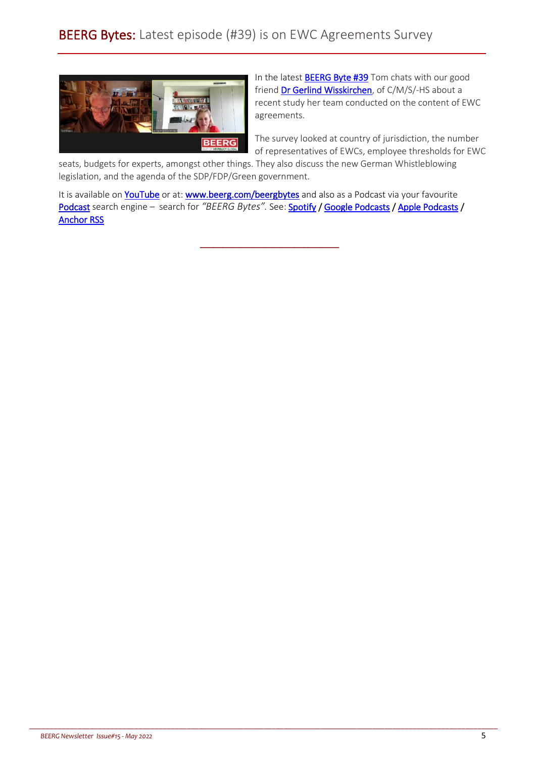

In the latest **BEERG Byte #39** Tom chats with our good friend [Dr Gerlind Wisskirchen,](https://cms.law/en/deu/people/gerlind-wisskirchen) of C/M/S/-HS about a recent study her team conducted on the content of EWC agreements.

The survey looked at country of jurisdiction, the number of representatives of EWCs, employee thresholds for EWC

seats, budgets for experts, amongst other things. They also discuss the new German Whistleblowing legislation, and the agenda of the SDP/FDP/Green government.

It is available on **YouTube** or at: **www.beerg.com/beergbytes** and also as a Podcast via your favourite [Podcast](https://anchor.fm/beerg) search engine - search for "BEERG Bytes". See[: Spotify /](https://open.spotify.com/show/7KdyFigcSJwK674gpmOBVJ) [Google Podcasts](https://podcasts.google.com/feed/aHR0cHM6Ly9hbmNob3IuZm0vcy8zZjE1OTdiNC9wb2RjYXN0L3Jzcw==) / [Apple Podcasts /](https://podcasts.apple.com/ie/podcast/beerg-bytes/id1539666418) [Anchor RSS](https://anchor.fm/s/3f1597b4/podcast/rss) 

\_\_\_\_\_\_\_\_\_\_\_\_\_\_\_\_\_\_\_\_\_\_\_\_\_\_\_\_\_\_\_